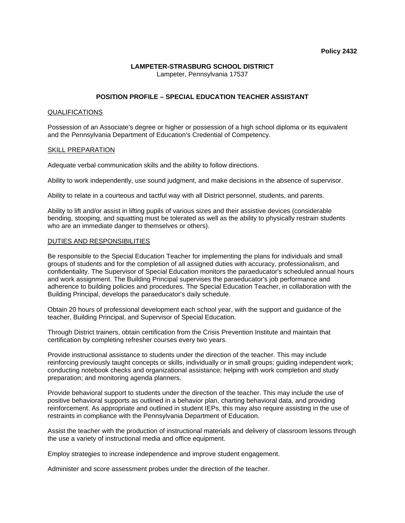### **LAMPETER-STRASBURG SCHOOL DISTRICT** Lampeter, Pennsylvania 17537

# **POSITION PROFILE – SPECIAL EDUCATION TEACHER ASSISTANT**

## QUALIFICATIONS

Possession of an Associate's degree or higher or possession of a high school diploma or its equivalent and the Pennsylvania Department of Education's Credential of Competency.

#### SKILL PREPARATION

Adequate verbal communication skills and the ability to follow directions.

Ability to work independently, use sound judgment, and make decisions in the absence of supervisor.

Ability to relate in a courteous and tactful way with all District personnel, students, and parents.

Ability to lift and/or assist in lifting pupils of various sizes and their assistive devices (considerable bending, stooping, and squatting must be tolerated as well as the ability to physically restrain students who are an immediate danger to themselves or others).

#### DUTIES AND RESPONSIBILITIES

Be responsible to the Special Education Teacher for implementing the plans for individuals and small groups of students and for the completion of all assigned duties with accuracy, professionalism, and confidentiality. The Supervisor of Special Education monitors the paraeducator's scheduled annual hours and work assignment. The Building Principal supervises the paraeducator's job performance and adherence to building policies and procedures. The Special Education Teacher, in collaboration with the Building Principal, develops the paraeducator's daily schedule.

Obtain 20 hours of professional development each school year, with the support and guidance of the teacher, Building Principal, and Supervisor of Special Education.

Through District trainers, obtain certification from the Crisis Prevention Institute and maintain that certification by completing refresher courses every two years.

Provide instructional assistance to students under the direction of the teacher. This may include reinforcing previously taught concepts or skills, individually or in small groups; guiding independent work; conducting notebook checks and organizational assistance; helping with work completion and study preparation; and monitoring agenda planners.

Provide behavioral support to students under the direction of the teacher. This may include the use of positive behavioral supports as outlined in a behavior plan, charting behavioral data, and providing reinforcement. As appropriate and outlined in student IEPs, this may also require assisting in the use of restraints in compliance with the Pennsylvania Department of Education.

Assist the teacher with the production of instructional materials and delivery of classroom lessons through the use a variety of instructional media and office equipment.

Employ strategies to increase independence and improve student engagement.

Administer and score assessment probes under the direction of the teacher.